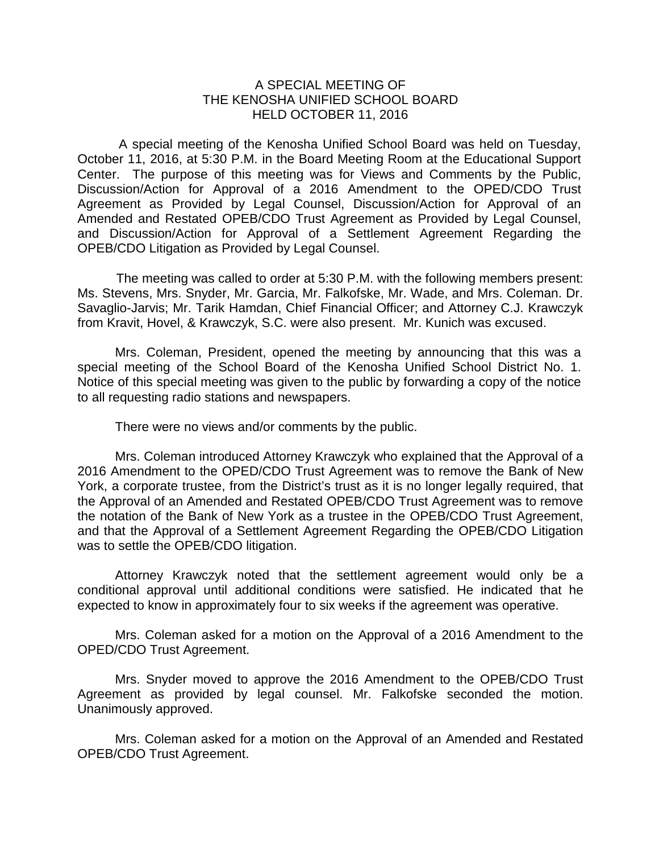## A SPECIAL MEETING OF THE KENOSHA UNIFIED SCHOOL BOARD HELD OCTOBER 11, 2016

A special meeting of the Kenosha Unified School Board was held on Tuesday, October 11, 2016, at 5:30 P.M. in the Board Meeting Room at the Educational Support Center. The purpose of this meeting was for Views and Comments by the Public, Discussion/Action for Approval of a 2016 Amendment to the OPED/CDO Trust Agreement as Provided by Legal Counsel, Discussion/Action for Approval of an Amended and Restated OPEB/CDO Trust Agreement as Provided by Legal Counsel, and Discussion/Action for Approval of a Settlement Agreement Regarding the OPEB/CDO Litigation as Provided by Legal Counsel.

The meeting was called to order at 5:30 P.M. with the following members present: Ms. Stevens, Mrs. Snyder, Mr. Garcia, Mr. Falkofske, Mr. Wade, and Mrs. Coleman. Dr. Savaglio-Jarvis; Mr. Tarik Hamdan, Chief Financial Officer; and Attorney C.J. Krawczyk from Kravit, Hovel, & Krawczyk, S.C. were also present. Mr. Kunich was excused.

Mrs. Coleman, President, opened the meeting by announcing that this was a special meeting of the School Board of the Kenosha Unified School District No. 1. Notice of this special meeting was given to the public by forwarding a copy of the notice to all requesting radio stations and newspapers.

There were no views and/or comments by the public.

Mrs. Coleman introduced Attorney Krawczyk who explained that the Approval of a 2016 Amendment to the OPED/CDO Trust Agreement was to remove the Bank of New York, a corporate trustee, from the District's trust as it is no longer legally required, that the Approval of an Amended and Restated OPEB/CDO Trust Agreement was to remove the notation of the Bank of New York as a trustee in the OPEB/CDO Trust Agreement, and that the Approval of a Settlement Agreement Regarding the OPEB/CDO Litigation was to settle the OPEB/CDO litigation.

Attorney Krawczyk noted that the settlement agreement would only be a conditional approval until additional conditions were satisfied. He indicated that he expected to know in approximately four to six weeks if the agreement was operative.

Mrs. Coleman asked for a motion on the Approval of a 2016 Amendment to the OPED/CDO Trust Agreement.

Mrs. Snyder moved to approve the 2016 Amendment to the OPEB/CDO Trust Agreement as provided by legal counsel. Mr. Falkofske seconded the motion. Unanimously approved.

Mrs. Coleman asked for a motion on the Approval of an Amended and Restated OPEB/CDO Trust Agreement.